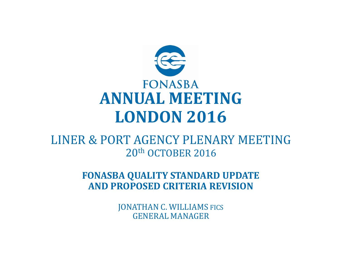

#### LINER & PORT AGENCY PLENARY MEETING 20th OCTOBER 2016

**FONASBA QUALITY STANDARD UPDATE AND PROPOSED CRITERIA REVISION**

> JONATHAN C. WILLIAMS FICS GENERAL MANAGER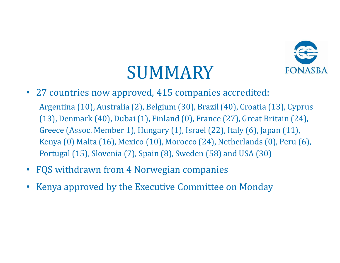

### SUMMARY

- 27 countries now approved, 415 companies accredited: Argentina (10), Australia (2), Belgium (30), Brazil (40), Croatia (13), Cyprus (13), Denmark (40), Dubai (1), Finland (0), France (27), Great Britain (24), Greece (Assoc. Member 1), Hungary (1), Israel (22), Italy (6), Japan (11), Kenya (0) Malta (16), Mexico (10), Morocco (24), Netherlands (0), Peru (6), Portugal (15), Slovenia (7), Spain (8), Sweden (58) and USA (30)
- FQS withdrawn from 4 Norwegian companies
- Kenya approved by the Executive Committee on Monday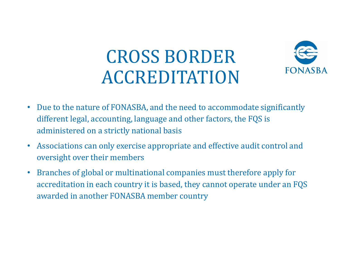### CROSS BORDER ACCREDITATION



- Due to the nature of FONASBA, and the need to accommodate significantly different legal, accounting, language and other factors, the FQS is administered on a strictly national basis
- Associations can only exercise appropriate and effective audit control and oversight over their members
- Branches of global or multinational companies must therefore apply for accreditation in each country it is based, they cannot operate under an FQS awarded in another FONASBA member country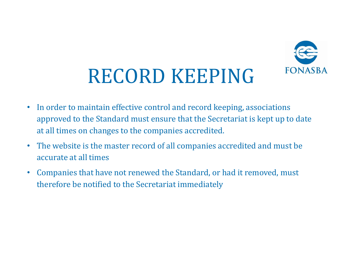

# RECORD KEEPING

- In order to maintain effective control and record keeping, associations approved to the Standard must ensure that the Secretariat is kept up to date at all times on changes to the companies accredited.
- The website is the master record of all companies accredited and must be accurate at all times
- Companies that have not renewed the Standard, or had it removed, must therefore be notified to the Secretariat immediately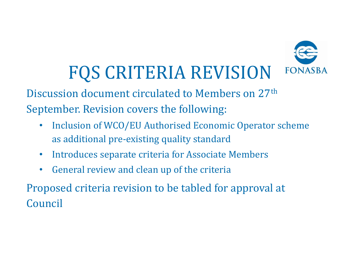

# FQS CRITERIA REVISION

Discussion document circulated to Members on 27th September. Revision covers the following:

- Inclusion of WCO/EU Authorised Economic Operator scheme as additional pre-existing quality standard
- Introduces separate criteria for Associate Members
- General review and clean up of the criteria

Proposed criteria revision to be tabled for approval at Council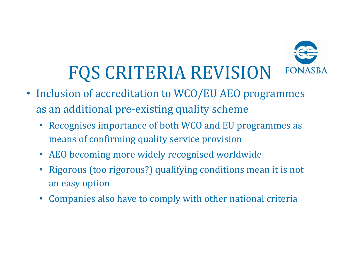

# FQS CRITERIA REVISION

- Inclusion of accreditation to WCO/EU AEO programmes as an additional pre-existing quality scheme
	- Recognises importance of both WCO and EU programmes as means of confirming quality service provision
	- AEO becoming more widely recognised worldwide
	- Rigorous (too rigorous?) qualifying conditions mean it is not an easy option
	- Companies also have to comply with other national criteria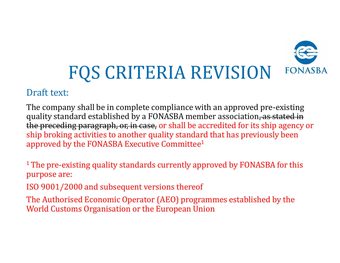

#### Draft text:

The company shall be in complete compliance with an approved pre-existing quality standard established by a FONASBA member association, as stated in the preceding paragraph, or, in case, or shall be accredited for its ship agency or ship broking activities to another quality standard that has previously been approved by the FONASBA Executive Committee<sup>1</sup>

<sup>1</sup> The pre-existing quality standards currently approved by FONASBA for this purpose are:

ISO 9001/2000 and subsequent versions thereof

The Authorised Economic Operator (AEO) programmes established by the World Customs Organisation or the European Union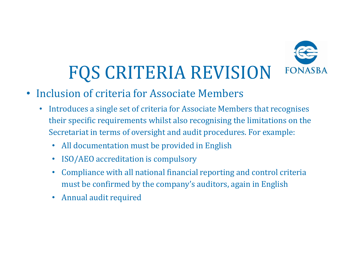

# FQS CRITERIA REVISION

- Inclusion of criteria for Associate Members
	- Introduces a single set of criteria for Associate Members that recognises their specific requirements whilst also recognising the limitations on the Secretariat in terms of oversight and audit procedures. For example:
		- All documentation must be provided in English
		- ISO/AEO accreditation is compulsory
		- Compliance with all national financial reporting and control criteria must be confirmed by the company's auditors, again in English
		- Annual audit required